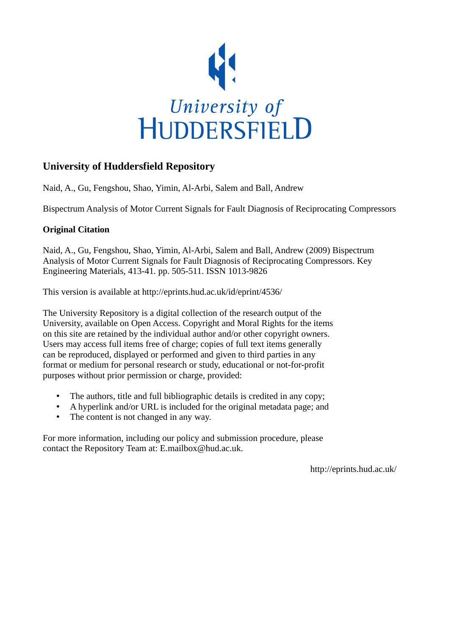

# **University of Huddersfield Repository**

Naid, A., Gu, Fengshou, Shao, Yimin, Al-Arbi, Salem and Ball, Andrew

Bispectrum Analysis of Motor Current Signals for Fault Diagnosis of Reciprocating Compressors

## **Original Citation**

Naid, A., Gu, Fengshou, Shao, Yimin, Al-Arbi, Salem and Ball, Andrew (2009) Bispectrum Analysis of Motor Current Signals for Fault Diagnosis of Reciprocating Compressors. Key Engineering Materials, 413-41. pp. 505-511. ISSN 1013-9826

This version is available at http://eprints.hud.ac.uk/id/eprint/4536/

The University Repository is a digital collection of the research output of the University, available on Open Access. Copyright and Moral Rights for the items on this site are retained by the individual author and/or other copyright owners. Users may access full items free of charge; copies of full text items generally can be reproduced, displayed or performed and given to third parties in any format or medium for personal research or study, educational or not-for-profit purposes without prior permission or charge, provided:

- The authors, title and full bibliographic details is credited in any copy;
- A hyperlink and/or URL is included for the original metadata page; and
- The content is not changed in any way.

For more information, including our policy and submission procedure, please contact the Repository Team at: E.mailbox@hud.ac.uk.

http://eprints.hud.ac.uk/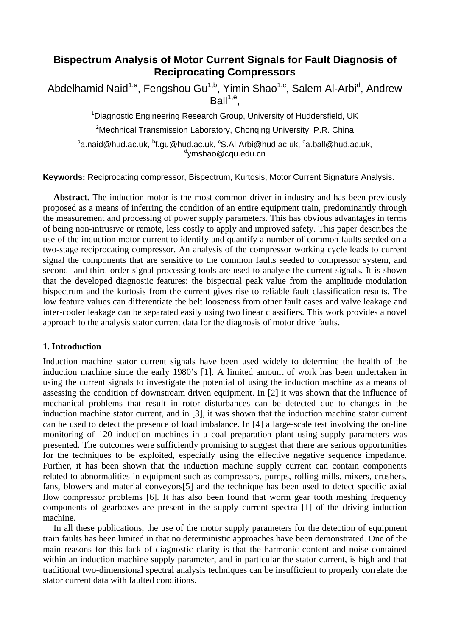## **Bispectrum Analysis of Motor Current Signals for Fault Diagnosis of Reciprocating Compressors**

Abdelhamid Naid<sup>1,a</sup>, Fengshou Gu<sup>1,b</sup>, Yimin Shao<sup>1,c</sup>, Salem Al-Arbi<sup>d</sup>, Andrew  $Ball<sup>1,e</sup>$ 

<sup>1</sup>Diagnostic Engineering Research Group, University of Huddersfield, UK

<sup>2</sup>Mechnical Transmission Laboratory, Chonqing University, P.R. China

<sup>a</sup>a.naid@hud.ac.uk, <sup>b</sup>f.gu@hud.ac.uk, <sup>c</sup>S.Al-Arbi@hud.ac.uk, <sup>e</sup>a.ball@hud.ac.uk, <sup>d</sup>ymshao@cqu.edu.cn

**Keywords:** Reciprocating compressor, Bispectrum, Kurtosis, Motor Current Signature Analysis.

Abstract. The induction motor is the most common driver in industry and has been previously proposed as a means of inferring the condition of an entire equipment train, predominantly through the measurement and processing of power supply parameters. This has obvious advantages in terms of being non-intrusive or remote, less costly to apply and improved safety. This paper describes the use of the induction motor current to identify and quantify a number of common faults seeded on a two-stage reciprocating compressor. An analysis of the compressor working cycle leads to current signal the components that are sensitive to the common faults seeded to compressor system, and second- and third-order signal processing tools are used to analyse the current signals. It is shown that the developed diagnostic features: the bispectral peak value from the amplitude modulation bispectrum and the kurtosis from the current gives rise to reliable fault classification results. The low feature values can differentiate the belt looseness from other fault cases and valve leakage and inter-cooler leakage can be separated easily using two linear classifiers. This work provides a novel approach to the analysis stator current data for the diagnosis of motor drive faults.

#### **1. Introduction**

Induction machine stator current signals have been used widely to determine the health of the induction machine since the early 1980's [1]. A limited amount of work has been undertaken in using the current signals to investigate the potential of using the induction machine as a means of assessing the condition of downstream driven equipment. In [2] it was shown that the influence of mechanical problems that result in rotor disturbances can be detected due to changes in the induction machine stator current, and in [3], it was shown that the induction machine stator current can be used to detect the presence of load imbalance. In [4] a large-scale test involving the on-line monitoring of 120 induction machines in a coal preparation plant using supply parameters was presented. The outcomes were sufficiently promising to suggest that there are serious opportunities for the techniques to be exploited, especially using the effective negative sequence impedance. Further, it has been shown that the induction machine supply current can contain components related to abnormalities in equipment such as compressors, pumps, rolling mills, mixers, crushers, fans, blowers and material conveyors[5] and the technique has been used to detect specific axial flow compressor problems [6]. It has also been found that worm gear tooth meshing frequency components of gearboxes are present in the supply current spectra [1] of the driving induction machine.

In all these publications, the use of the motor supply parameters for the detection of equipment train faults has been limited in that no deterministic approaches have been demonstrated. One of the main reasons for this lack of diagnostic clarity is that the harmonic content and noise contained within an induction machine supply parameter, and in particular the stator current, is high and that traditional two-dimensional spectral analysis techniques can be insufficient to properly correlate the stator current data with faulted conditions.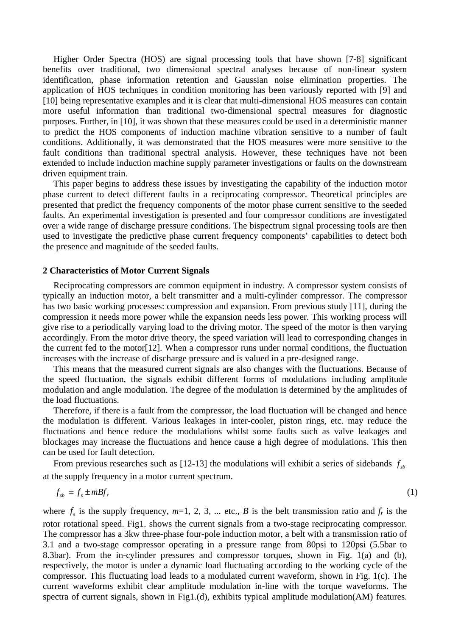Higher Order Spectra (HOS) are signal processing tools that have shown [7-8] significant benefits over traditional, two dimensional spectral analyses because of non-linear system identification, phase information retention and Gaussian noise elimination properties. The application of HOS techniques in condition monitoring has been variously reported with [9] and [10] being representative examples and it is clear that multi-dimensional HOS measures can contain more useful information than traditional two-dimensional spectral measures for diagnostic purposes. Further, in [10], it was shown that these measures could be used in a deterministic manner to predict the HOS components of induction machine vibration sensitive to a number of fault conditions. Additionally, it was demonstrated that the HOS measures were more sensitive to the fault conditions than traditional spectral analysis. However, these techniques have not been extended to include induction machine supply parameter investigations or faults on the downstream driven equipment train.

This paper begins to address these issues by investigating the capability of the induction motor phase current to detect different faults in a reciprocating compressor. Theoretical principles are presented that predict the frequency components of the motor phase current sensitive to the seeded faults. An experimental investigation is presented and four compressor conditions are investigated over a wide range of discharge pressure conditions. The bispectrum signal processing tools are then used to investigate the predictive phase current frequency components' capabilities to detect both the presence and magnitude of the seeded faults.

#### **2 Characteristics of Motor Current Signals**

Reciprocating compressors are common equipment in industry. A compressor system consists of typically an induction motor, a belt transmitter and a multi-cylinder compressor. The compressor has two basic working processes: compression and expansion. From previous study [11], during the compression it needs more power while the expansion needs less power. This working process will give rise to a periodically varying load to the driving motor. The speed of the motor is then varying accordingly. From the motor drive theory, the speed variation will lead to corresponding changes in the current fed to the motor[12]. When a compressor runs under normal conditions, the fluctuation increases with the increase of discharge pressure and is valued in a pre-designed range.

This means that the measured current signals are also changes with the fluctuations. Because of the speed fluctuation, the signals exhibit different forms of modulations including amplitude modulation and angle modulation. The degree of the modulation is determined by the amplitudes of the load fluctuations.

Therefore, if there is a fault from the compressor, the load fluctuation will be changed and hence the modulation is different. Various leakages in inter-cooler, piston rings, etc. may reduce the fluctuations and hence reduce the modulations whilst some faults such as valve leakages and blockages may increase the fluctuations and hence cause a high degree of modulations. This then can be used for fault detection.

From previous researches such as [12-13] the modulations will exhibit a series of sidebands  $f_{sb}$ at the supply frequency in a motor current spectrum.

$$
f_{sb} = f_s \pm mBf_r \tag{1}
$$

where  $f_s$  is the supply frequency,  $m=1, 2, 3, ...$  etc., B is the belt transmission ratio and  $f_t$  is the rotor rotational speed. Fig1. shows the current signals from a two-stage reciprocating compressor. The compressor has a 3kw three-phase four-pole induction motor, a belt with a transmission ratio of 3.1 and a two-stage compressor operating in a pressure range from 80psi to 120psi (5.5bar to 8.3bar). From the in-cylinder pressures and compressor torques, shown in Fig. 1(a) and (b), respectively, the motor is under a dynamic load fluctuating according to the working cycle of the compressor. This fluctuating load leads to a modulated current waveform, shown in Fig. 1(c). The current waveforms exhibit clear amplitude modulation in-line with the torque waveforms. The spectra of current signals, shown in Fig1.(d), exhibits typical amplitude modulation(AM) features.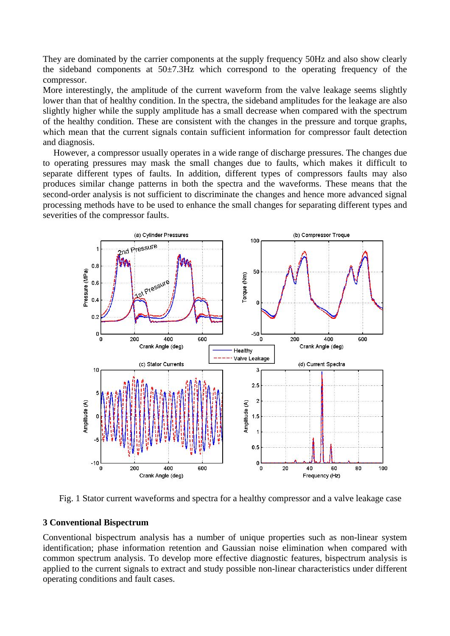They are dominated by the carrier components at the supply frequency 50Hz and also show clearly the sideband components at  $50\pm7.3$  Hz which correspond to the operating frequency of the compressor.

More interestingly, the amplitude of the current waveform from the valve leakage seems slightly lower than that of healthy condition. In the spectra, the sideband amplitudes for the leakage are also slightly higher while the supply amplitude has a small decrease when compared with the spectrum of the healthy condition. These are consistent with the changes in the pressure and torque graphs, which mean that the current signals contain sufficient information for compressor fault detection and diagnosis.

However, a compressor usually operates in a wide range of discharge pressures. The changes due to operating pressures may mask the small changes due to faults, which makes it difficult to separate different types of faults. In addition, different types of compressors faults may also produces similar change patterns in both the spectra and the waveforms. These means that the second-order analysis is not sufficient to discriminate the changes and hence more advanced signal processing methods have to be used to enhance the small changes for separating different types and severities of the compressor faults.



Fig. 1 Stator current waveforms and spectra for a healthy compressor and a valve leakage case

## **3 Conventional Bispectrum**

Conventional bispectrum analysis has a number of unique properties such as non-linear system identification; phase information retention and Gaussian noise elimination when compared with common spectrum analysis. To develop more effective diagnostic features, bispectrum analysis is applied to the current signals to extract and study possible non-linear characteristics under different operating conditions and fault cases.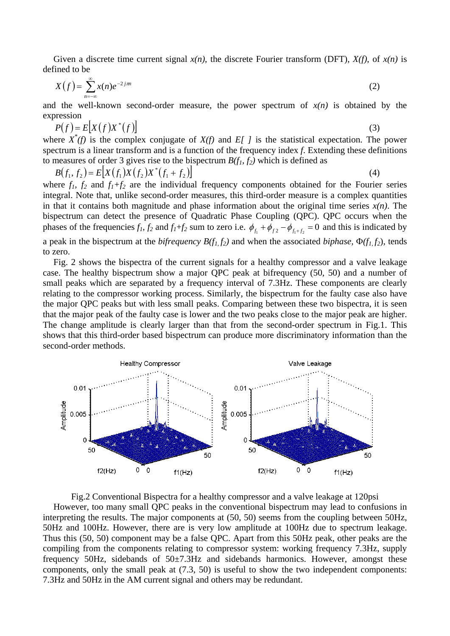Given a discrete time current signal  $x(n)$ , the discrete Fourier transform (DFT),  $X(f)$ , of  $x(n)$  is defined to be

$$
X(f) = \sum_{n=-\infty}^{\infty} x(n)e^{-2j\pi n}
$$
 (2)

and the well-known second-order measure, the power spectrum of  $x(n)$  is obtained by the expression

$$
P(f) = E[X(f)X^*(f)]
$$
\n
$$
P(f) = E[X(f)X^*(f)]
$$
\n
$$
P(f) = E[X(f)X^*(f)]
$$
\n
$$
P(f) = E[X(f)X^*(f)]
$$
\n
$$
P(f) = E[X(f)X^*(f)]
$$
\n
$$
P(f) = E[X(f)X^*(f)]
$$
\n
$$
P(f) = E[X(f)X^*(f)]
$$
\n
$$
P(f) = E[X(f)X^*(f)]
$$
\n
$$
P(f) = E[X(f)X^*(f)]
$$
\n
$$
P(f) = E[X(f)X^*(f)]
$$
\n
$$
P(f) = E[X(f)X^*(f)]
$$
\n
$$
P(f) = E[X(f)X^*(f)]
$$
\n
$$
P(f) = E[X(f)X^*(f)]
$$
\n
$$
P(f) = E[X(f)X^*(f)]
$$
\n
$$
P(f) = E[X(f)X^*(f)]
$$
\n
$$
P(f) = E[X(f)X^*(f)]
$$
\n
$$
P(f) = E[X(f)X^*(f)]
$$
\n
$$
P(f) = E[X(f)X^*(f)]
$$
\n
$$
P(f) = E[X(f)X^*(f)]
$$
\n
$$
P(f) = E[X(f)X^*(f)]
$$
\n
$$
P(f) = E[X(f)X^*(f)]
$$
\n
$$
P(f) = E[X(f)X^*(f)]
$$
\n
$$
P(f) = E[X(f)X^*(f)]
$$
\n
$$
P(f) = E[X(f)X^*(f)]
$$
\n
$$
P(f) = E[X(f)X^*(f)]
$$
\n
$$
P(f) = E[X(f)X^*(f)]
$$
\n
$$
P(f) = E[X(f)X^*(f)]
$$
\n
$$
P(f) = E[X(f)X^*(f)]
$$
\n
$$
P(f) = E[X(f)X^*(f)]
$$
\n
$$
P(f) = E[X(f)X^*(f)]
$$
\n
$$
P(f) = E[X(f)X^*(f)]
$$
\n
$$
P(f) = E[X(f)X^*(f)]
$$
\n
$$
P(f) = E[X(f)X^*(f)]
$$
\n

where  $X^*(f)$  is the complex conjugate of  $X(f)$  and  $E[f]$  is the statistical expectation. The power spectrum is a linear transform and is a function of the frequency index *f*. Extending these definitions to measures of order 3 gives rise to the bispectrum  $B(f_1, f_2)$  which is defined as

 $B(f_1, f_2) = E[X(f_1)X(f_2)X^*(f_1 + f_2)]$  (4)

where  $f_1$ ,  $f_2$  and  $f_1+f_2$  are the individual frequency components obtained for the Fourier series integral. Note that, unlike second-order measures, this third-order measure is a complex quantities in that it contains both magnitude and phase information about the original time series  $x(n)$ . The bispectrum can detect the presence of Quadratic Phase Coupling (QPC). QPC occurs when the phases of the frequencies  $f_1$ ,  $f_2$  and  $f_1+f_2$  sum to zero i.e.  $\phi_{f_1} + \phi_{f_2} - \phi_{f_1+f_2} = 0$  and this is indicated by

a peak in the bispectrum at the *bifrequency*  $B(f_1, f_2)$  and when the associated *biphase*,  $\Phi(f_1, f_2)$ , tends to zero.

Fig. 2 shows the bispectra of the current signals for a healthy compressor and a valve leakage case. The healthy bispectrum show a major QPC peak at bifrequency (50, 50) and a number of small peaks which are separated by a frequency interval of 7.3Hz. These components are clearly relating to the compressor working process. Similarly, the bispectrum for the faulty case also have the major QPC peaks but with less small peaks. Comparing between these two bispectra, it is seen that the major peak of the faulty case is lower and the two peaks close to the major peak are higher. The change amplitude is clearly larger than that from the second-order spectrum in Fig.1. This shows that this third-order based bispectrum can produce more discriminatory information than the second-order methods.



Fig.2 Conventional Bispectra for a healthy compressor and a valve leakage at 120psi However, too many small QPC peaks in the conventional bispectrum may lead to confusions in interpreting the results. The major components at (50, 50) seems from the coupling between 50Hz, 50Hz and 100Hz. However, there are is very low amplitude at 100Hz due to spectrum leakage. Thus this (50, 50) component may be a false QPC. Apart from this 50Hz peak, other peaks are the compiling from the components relating to compressor system: working frequency 7.3Hz, supply frequency 50Hz, sidebands of  $50\pm7.3$ Hz and sidebands harmonics. However, amongst these components, only the small peak at (7.3, 50) is useful to show the two independent components: 7.3Hz and 50Hz in the AM current signal and others may be redundant.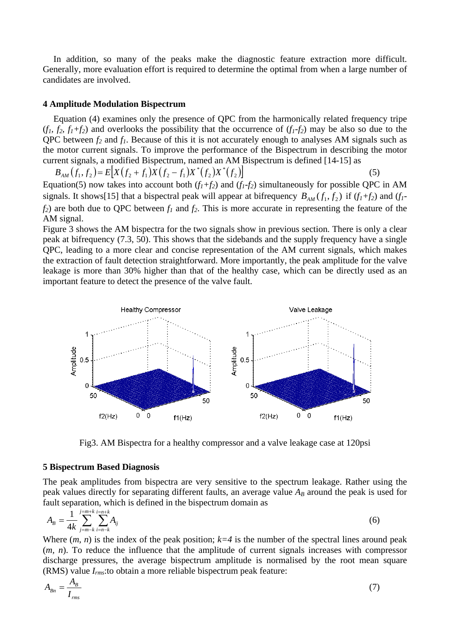In addition, so many of the peaks make the diagnostic feature extraction more difficult. Generally, more evaluation effort is required to determine the optimal from when a large number of candidates are involved.

#### **4 Amplitude Modulation Bispectrum**

Equation (4) examines only the presence of QPC from the harmonically related frequency tripe  $(f_1, f_2, f_1+f_2)$  and overlooks the possibility that the occurrence of  $(f_1-f_2)$  may be also so due to the QPC between  $f_2$  and  $f_1$ . Because of this it is not accurately enough to analyses AM signals such as the motor current signals. To improve the performance of the Bispectrum in describing the motor current signals, a modified Bispectrum, named an AM Bispectrum is defined [14-15] as

 $(f_1, f_2) = E[X(f_2 + f_1)X(f_2 - f_1)X^*(f_2)X^*(f_2)]$ 2  $B_{AM}(f_1, f_2) = E[X(f_2 + f_1)X(f_2 - f_1)X^*(f_2)X^*(f_2)]$  (5) Equation(5) now takes into account both  $(f_1+f_2)$  and  $(f_1-f_2)$  simultaneously for possible QPC in AM signals. It shows[15] that a bispectral peak will appear at bifrequency  $B_{AM}(f_1, f_2)$  if  $(f_1+f_2)$  and  $(f_1-f_2)$  $f_2$ ) are both due to QPC between  $f_1$  and  $f_2$ . This is more accurate in representing the feature of the AM signal.

Figure 3 shows the AM bispectra for the two signals show in previous section. There is only a clear peak at bifrequency (7.3, 50). This shows that the sidebands and the supply frequency have a single QPC, leading to a more clear and concise representation of the AM current signals, which makes the extraction of fault detection straightforward. More importantly, the peak amplitude for the valve leakage is more than 30% higher than that of the healthy case, which can be directly used as an important feature to detect the presence of the valve fault.



Fig3. AM Bispectra for a healthy compressor and a valve leakage case at 120psi

### **5 Bispectrum Based Diagnosis**

The peak amplitudes from bispectra are very sensitive to the spectrum leakage. Rather using the peak values directly for separating different faults, an average value  $A_B$  around the peak is used for fault separation, which is defined in the bispectrum domain as

$$
A_B = \frac{1}{4k} \sum_{j=m-k}^{j=m+k} \sum_{i=n-k}^{i=n+k} A_{ij} \tag{6}
$$

Where  $(m, n)$  is the index of the peak position;  $k=4$  is the number of the spectral lines around peak (*m, n*). To reduce the influence that the amplitude of current signals increases with compressor discharge pressures, the average bispectrum amplitude is normalised by the root mean square (RMS) value *Irms*:to obtain a more reliable bispectrum peak feature:

$$
A_{Bn} = \frac{A_B}{I_{rms}}\tag{7}
$$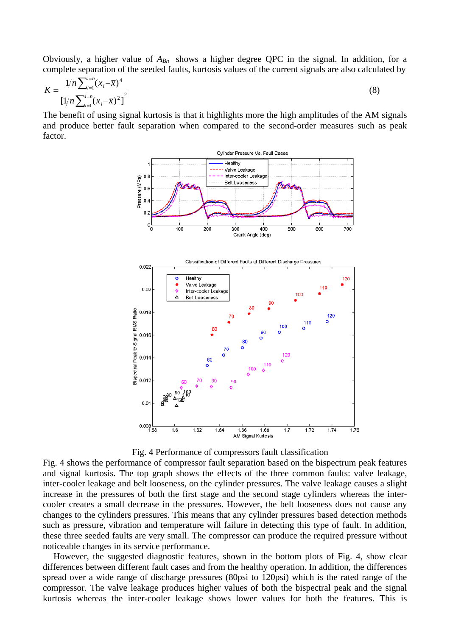Obviously, a higher value of *ABn* shows a higher degree QPC in the signal. In addition, for a complete separation of the seeded faults, kurtosis values of the current signals are also calculated by

$$
K = \frac{1/n \sum_{i=1}^{i=n} (x_i - \overline{x})^4}{\left[1/n \sum_{i=1}^{i=n} (x_i - \overline{x})^2\right]^2}
$$
(8)

The benefit of using signal kurtosis is that it highlights more the high amplitudes of the AM signals and produce better fault separation when compared to the second-order measures such as peak factor.





Fig. 4 Performance of compressors fault classification

Fig. 4 shows the performance of compressor fault separation based on the bispectrum peak features and signal kurtosis. The top graph shows the effects of the three common faults: valve leakage, inter-cooler leakage and belt looseness, on the cylinder pressures. The valve leakage causes a slight increase in the pressures of both the first stage and the second stage cylinders whereas the intercooler creates a small decrease in the pressures. However, the belt looseness does not cause any changes to the cylinders pressures. This means that any cylinder pressures based detection methods such as pressure, vibration and temperature will failure in detecting this type of fault. In addition, these three seeded faults are very small. The compressor can produce the required pressure without noticeable changes in its service performance.

However, the suggested diagnostic features, shown in the bottom plots of Fig. 4, show clear differences between different fault cases and from the healthy operation. In addition, the differences spread over a wide range of discharge pressures (80psi to 120psi) which is the rated range of the compressor. The valve leakage produces higher values of both the bispectral peak and the signal kurtosis whereas the inter-cooler leakage shows lower values for both the features. This is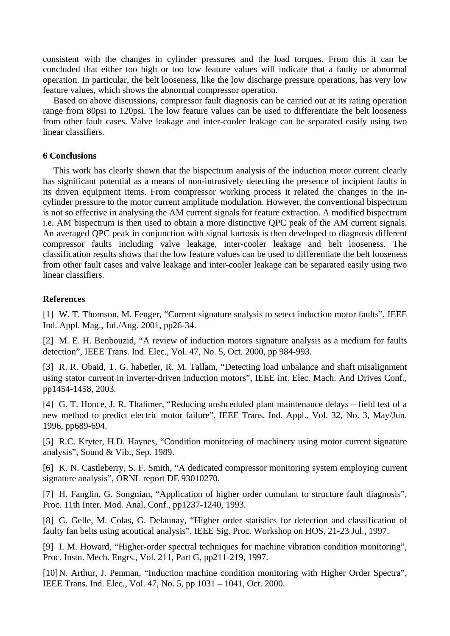consistent with the changes in cylinder pressures and the load torques. From this it can be concluded that either too high or too low feature values will indicate that a faulty or abnormal operation. In particular, the belt looseness, like the low discharge pressure operations, has very low feature values, which shows the abnormal compressor operation.

Based on above discussions, compressor fault diagnosis can be carried out at its rating operation range from 80psi to 120psi. The low feature values can be used to differentiate the belt looseness from other fault cases. Valve leakage and inter-cooler leakage can be separated easily using two linear classifiers.

### **6 Conclusions**

This work has clearly shown that the bispectrum analysis of the induction motor current clearly has significant potential as a means of non-intrusively detecting the presence of incipient faults in its driven equipment items. From compressor working process it related the changes in the incylinder pressure to the motor current amplitude modulation. However, the conventional bispectrum is not so effective in analysing the AM current signals for feature extraction. A modified bispectrum i.e. AM bispectrum is then used to obtain a more distinctive QPC peak of the AM current signals. An averaged QPC peak in conjunction with signal kurtosis is then developed to diagnosis different compressor faults including valve leakage, inter-cooler leakage and belt looseness. The classification results shows that the low feature values can be used to differentiate the belt looseness from other fault cases and valve leakage and inter-cooler leakage can be separated easily using two linear classifiers.

### **References**

[1] W. T. Thomson, M. Fenger, "Current signature snalysis to setect induction motor faults", IEEE Ind. Appl. Mag., Jul./Aug. 2001, pp26-34.

[2] M. E. H. Benbouzid, "A review of induction motors signature analysis as a medium for faults detection", IEEE Trans. Ind. Elec., Vol. 47, No. 5, Oct. 2000, pp 984-993.

[3] R. R. Obaid, T. G. habetler, R. M. Tallam, "Detecting load unbalance and shaft misalignment using stator current in inverter-driven induction motors", IEEE int. Elec. Mach. And Drives Conf., pp1454-1458, 2003.

[4] G. T. Honce, J. R. Thalimer, "Reducing unshceduled plant maintenance delays – field test of a new method to predict electric motor failure", IEEE Trans. Ind. Appl., Vol. 32, No. 3, May/Jun. 1996, pp689-694.

[5] R.C. Kryter, H.D. Haynes, "Condition monitoring of machinery using motor current signature analysis", Sound & Vib., Sep. 1989.

[6] K. N. Castleberry, S. F. Smith, "A dedicated compressor monitoring system employing current signature analysis", ORNL report DE 93010270.

[7] H. Fanglin, G. Songnian, "Application of higher order cumulant to structure fault diagnosis". Proc. 11th Inter. Mod. Anal. Conf., pp1237-1240, 1993.

[8] G. Gelle, M. Colas, G. Delaunay, "Higher order statistics for detection and classification of faulty fan belts using acoutical analysis", IEEE Sig. Proc. Workshop on HOS, 21-23 Jul., 1997.

[9] I. M. Howard, "Higher-order spectral techniques for machine vibration condition monitoring", Proc. Instn. Mech. Engrs., Vol. 211, Part G, pp211-219, 1997.

[10] N. Arthur, J. Penman, "Induction machine condition monitoring with Higher Order Spectra", IEEE Trans. Ind. Elec., Vol. 47, No. 5, pp 1031 – 1041, Oct. 2000.